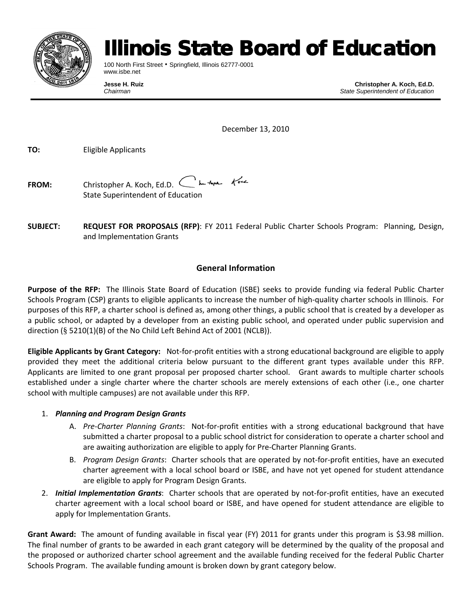

# **linois State Board of Education**

100 North First Street • Springfield, Illinois 62777-0001 www.isbe.net

**Jesse H. Ruiz Christopher A. Koch, Ed.D.**<br>Chairman **Christopher A. Koch, Ed.D.**<br>Chairman **Chairman** *Chairman State Superintendent of Education*

December 13, 2010

**TO:** Eligible Applicants

**FROM:** Christopher A. Koch, Ed.D. State Superintendent of Education

**SUBJECT: REQUEST FOR PROPOSALS (RFP)**: FY 2011 Federal Public Charter Schools Program: Planning, Design, and Implementation Grants

# **General Information**

**Purpose of the RFP:** The Illinois State Board of Education (ISBE) seeks to provide funding via federal Public Charter Schools Program (CSP) grants to eligible applicants to increase the number of high-quality charter schools in Illinois. For purposes of this RFP, a charter school is defined as, among other things, a public school that is created by a developer as a public school, or adapted by a developer from an existing public school, and operated under public supervision and direction (§ 5210(1)(B) of the No Child Left Behind Act of 2001 (NCLB)).

**Eligible Applicants by Grant Category:** Not-for-profit entities with a strong educational background are eligible to apply provided they meet the additional criteria below pursuant to the different grant types available under this RFP. Applicants are limited to one grant proposal per proposed charter school. Grant awards to multiple charter schools established under a single charter where the charter schools are merely extensions of each other (i.e., one charter school with multiple campuses) are not available under this RFP.

## 1. *Planning and Program Design Grants*

- A. *Pre-Charter Planning Grants*: Not-for-profit entities with a strong educational background that have submitted a charter proposal to a public school district for consideration to operate a charter school and are awaiting authorization are eligible to apply for Pre-Charter Planning Grants.
- B. *Program Design Grants*: Charter schools that are operated by not-for-profit entities, have an executed charter agreement with a local school board or ISBE, and have not yet opened for student attendance are eligible to apply for Program Design Grants.
- 2. *Initial Implementation Grants*: Charter schools that are operated by not-for-profit entities, have an executed charter agreement with a local school board or ISBE, and have opened for student attendance are eligible to apply for Implementation Grants.

**Grant Award:** The amount of funding available in fiscal year (FY) 2011 for grants under this program is \$3.98 million. The final number of grants to be awarded in each grant category will be determined by the quality of the proposal and the proposed or authorized charter school agreement and the available funding received for the federal Public Charter Schools Program. The available funding amount is broken down by grant category below.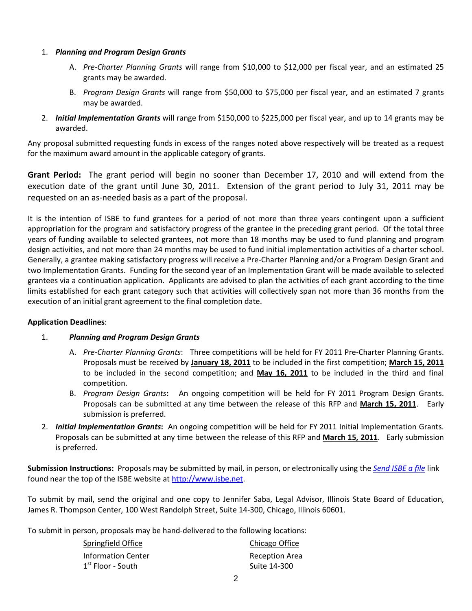#### 1. *Planning and Program Design Grants*

- A. *Pre-Charter Planning Grants* will range from \$10,000 to \$12,000 per fiscal year, and an estimated 25 grants may be awarded.
- B. *Program Design Grants* will range from \$50,000 to \$75,000 per fiscal year, and an estimated 7 grants may be awarded.
- 2. *Initial Implementation Grants* will range from \$150,000 to \$225,000 per fiscal year, and up to 14 grants may be awarded.

Any proposal submitted requesting funds in excess of the ranges noted above respectively will be treated as a request for the maximum award amount in the applicable category of grants.

**Grant Period:** The grant period will begin no sooner than December 17, 2010 and will extend from the execution date of the grant until June 30, 2011. Extension of the grant period to July 31, 2011 may be requested on an as-needed basis as a part of the proposal.

It is the intention of ISBE to fund grantees for a period of not more than three years contingent upon a sufficient appropriation for the program and satisfactory progress of the grantee in the preceding grant period. Of the total three years of funding available to selected grantees, not more than 18 months may be used to fund planning and program design activities, and not more than 24 months may be used to fund initial implementation activities of a charter school. Generally, a grantee making satisfactory progress will receive a Pre-Charter Planning and/or a Program Design Grant and two Implementation Grants. Funding for the second year of an Implementation Grant will be made available to selected grantees via a continuation application. Applicants are advised to plan the activities of each grant according to the time limits established for each grant category such that activities will collectively span not more than 36 months from the execution of an initial grant agreement to the final completion date.

#### **Application Deadlines**:

#### 1. *Planning and Program Design Grants*

- A. *Pre-Charter Planning Grants*: Three competitions will be held for FY 2011 Pre-Charter Planning Grants. Proposals must be received by **January 18, 2011** to be included in the first competition; **March 15, 2011** to be included in the second competition; and **May 16, 2011** to be included in the third and final competition.
- B. *Program Design Grants***:** An ongoing competition will be held for FY 2011 Program Design Grants. Proposals can be submitted at any time between the release of this RFP and **March 15, 2011**. Early submission is preferred.
- 2. *Initial Implementation Grants***:** An ongoing competition will be held for FY 2011 Initial Implementation Grants. Proposals can be submitted at any time between the release of this RFP and **March 15, 2011**. Early submission is preferred.

**Submission Instructions:** Proposals may be submitted by mail, in person, or electronically using the *[Send ISBE a file](https://sec1.isbe.net/attachmgr/default.aspx)* link found near the top of the ISBE website at [http://www.isbe.net.](http://www.isbe.net/)

To submit by mail, send the original and one copy to Jennifer Saba, Legal Advisor, Illinois State Board of Education, James R. Thompson Center, 100 West Randolph Street, Suite 14-300, Chicago, Illinois 60601.

To submit in person, proposals may be hand-delivered to the following locations:

| Springfield Office        | Chicago Office        |
|---------------------------|-----------------------|
| <b>Information Center</b> | <b>Reception Area</b> |
| $1st$ Floor - South       | Suite 14-300          |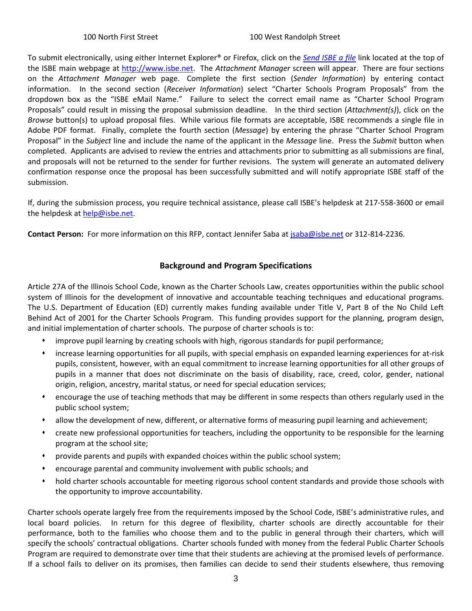To submit electronically, using either Internet Explorer® or Firefox, click on the *[Send ISBE a file](https://sec1.isbe.net/attachmgr/default.aspx)* link located at the top of the ISBE main webpage at [http://www.isbe.net.](http://www.isbe.net/) The *Attachment Manager* screen will appear. There are four sections on the *Attachment Manager* web page. Complete the first section (*Sender Information*) by entering contact information. In the second section (*Receiver Information*) select "Charter Schools Program Proposals" from the dropdown box as the "ISBE eMail Name." Failure to select the correct email name as "Charter School Program Proposals" could result in missing the proposal submission deadline. In the third section (*Attachment(s)*), click on the *Browse* button(s) to upload proposal files. While various file formats are acceptable, ISBE recommends a single file in Adobe PDF format. Finally, complete the fourth section (*Message*) by entering the phrase "Charter School Program Proposal" in the *Subject* line and include the name of the applicant in the *Message* line. Press the *Submit* button when completed. Applicants are advised to review the entries and attachments prior to submitting as all submissions are final, and proposals will not be returned to the sender for further revisions. The system will generate an automated delivery confirmation response once the proposal has been successfully submitted and will notify appropriate ISBE staff of the submission.

If, during the submission process, you require technical assistance, please call ISBE's helpdesk at 217-558-3600 or email the helpdesk a[t help@isbe.net.](mailto:help@isbe.net)

**Contact Person:** For more information on this RFP, contact Jennifer Saba at [jsaba@isbe.net](mailto:jsaba@isbe.net) or 312-814-2236.

# **Background and Program Specifications**

Article 27A of the Illinois School Code, known as the Charter Schools Law, creates opportunities within the public school system of Illinois for the development of innovative and accountable teaching techniques and educational programs. The U.S. Department of Education (ED) currently makes funding available under Title V, Part B of the No Child Left Behind Act of 2001 for the Charter Schools Program. This funding provides support for the planning, program design, and initial implementation of charter schools. The purpose of charter schools is to:

- improve pupil learning by creating schools with high, rigorous standards for pupil performance;
- increase learning opportunities for all pupils, with special emphasis on expanded learning experiences for at-risk pupils, consistent, however, with an equal commitment to increase learning opportunities for all other groups of pupils in a manner that does not discriminate on the basis of disability, race, creed, color, gender, national origin, religion, ancestry, marital status, or need for special education services;
- encourage the use of teaching methods that may be different in some respects than others regularly used in the public school system;
- allow the development of new, different, or alternative forms of measuring pupil learning and achievement;
- create new professional opportunities for teachers, including the opportunity to be responsible for the learning program at the school site;
- provide parents and pupils with expanded choices within the public school system;
- encourage parental and community involvement with public schools; and
- hold charter schools accountable for meeting rigorous school content standards and provide those schools with the opportunity to improve accountability.

Charter schools operate largely free from the requirements imposed by the School Code, ISBE's administrative rules, and local board policies. In return for this degree of flexibility, charter schools are directly accountable for their performance, both to the families who choose them and to the public in general through their charters, which will specify the schools' contractual obligations. Charter schools funded with money from the federal Public Charter Schools Program are required to demonstrate over time that their students are achieving at the promised levels of performance. If a school fails to deliver on its promises, then families can decide to send their students elsewhere, thus removing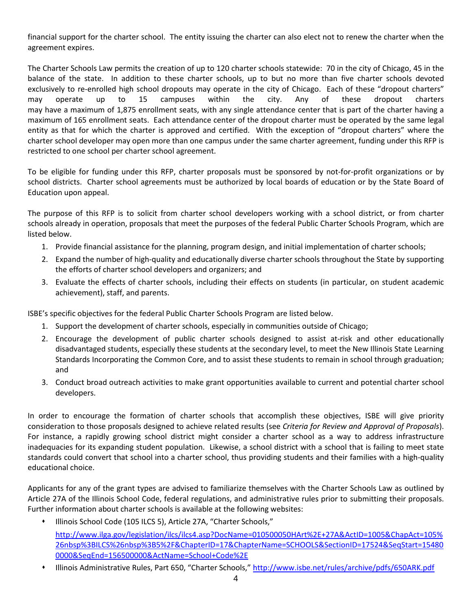financial support for the charter school. The entity issuing the charter can also elect not to renew the charter when the agreement expires.

The Charter Schools Law permits the creation of up to 120 charter schools statewide: 70 in the city of Chicago, 45 in the balance of the state. In addition to these charter schools, up to but no more than five charter schools devoted exclusively to re-enrolled high school dropouts may operate in the city of Chicago. Each of these "dropout charters" may operate up to 15 campuses within the city. Any of these dropout charters may have a maximum of 1,875 enrollment seats, with any single attendance center that is part of the charter having a maximum of 165 enrollment seats. Each attendance center of the dropout charter must be operated by the same legal entity as that for which the charter is approved and certified. With the exception of "dropout charters" where the charter school developer may open more than one campus under the same charter agreement, funding under this RFP is restricted to one school per charter school agreement.

To be eligible for funding under this RFP, charter proposals must be sponsored by not-for-profit organizations or by school districts. Charter school agreements must be authorized by local boards of education or by the State Board of Education upon appeal.

The purpose of this RFP is to solicit from charter school developers working with a school district, or from charter schools already in operation, proposals that meet the purposes of the federal Public Charter Schools Program, which are listed below.

- 1. Provide financial assistance for the planning, program design, and initial implementation of charter schools;
- 2. Expand the number of high-quality and educationally diverse charter schools throughout the State by supporting the efforts of charter school developers and organizers; and
- 3. Evaluate the effects of charter schools, including their effects on students (in particular, on student academic achievement), staff, and parents.

ISBE's specific objectives for the federal Public Charter Schools Program are listed below.

- 1. Support the development of charter schools, especially in communities outside of Chicago;
- 2. Encourage the development of public charter schools designed to assist at-risk and other educationally disadvantaged students, especially these students at the secondary level, to meet the New Illinois State Learning Standards Incorporating the Common Core, and to assist these students to remain in school through graduation; and
- 3. Conduct broad outreach activities to make grant opportunities available to current and potential charter school developers.

In order to encourage the formation of charter schools that accomplish these objectives, ISBE will give priority consideration to those proposals designed to achieve related results (see *Criteria for Review and Approval of Proposals*). For instance, a rapidly growing school district might consider a charter school as a way to address infrastructure inadequacies for its expanding student population. Likewise, a school district with a school that is failing to meet state standards could convert that school into a charter school, thus providing students and their families with a high-quality educational choice.

Applicants for any of the grant types are advised to familiarize themselves with the Charter Schools Law as outlined by Article 27A of the Illinois School Code, federal regulations, and administrative rules prior to submitting their proposals. Further information about charter schools is available at the following websites:

- Illinois School Code (105 ILCS 5), Article 27A, "Charter Schools," [http://www.ilga.gov/legislation/ilcs/ilcs4.asp?DocName=010500050HArt%2E+27A&ActID=1005&ChapAct=105%](http://www.ilga.gov/legislation/ilcs/ilcs4.asp?DocName=010500050HArt%2E+27A&ActID=1005&ChapAct=105%26nbsp%3BILCS%26nbsp%3B5%2F&ChapterID=17&ChapterName=SCHOOLS&SectionID=17524&SeqStart=154800000&SeqEnd=156500000&ActName=School+Code%2E) [26nbsp%3BILCS%26nbsp%3B5%2F&ChapterID=17&ChapterName=SCHOOLS&SectionID=17524&SeqStart=15480](http://www.ilga.gov/legislation/ilcs/ilcs4.asp?DocName=010500050HArt%2E+27A&ActID=1005&ChapAct=105%26nbsp%3BILCS%26nbsp%3B5%2F&ChapterID=17&ChapterName=SCHOOLS&SectionID=17524&SeqStart=154800000&SeqEnd=156500000&ActName=School+Code%2E) [0000&SeqEnd=156500000&ActName=School+Code%2E](http://www.ilga.gov/legislation/ilcs/ilcs4.asp?DocName=010500050HArt%2E+27A&ActID=1005&ChapAct=105%26nbsp%3BILCS%26nbsp%3B5%2F&ChapterID=17&ChapterName=SCHOOLS&SectionID=17524&SeqStart=154800000&SeqEnd=156500000&ActName=School+Code%2E)
- Illinois Administrative Rules, Part 650, "Charter Schools,"<http://www.isbe.net/rules/archive/pdfs/650ARK.pdf>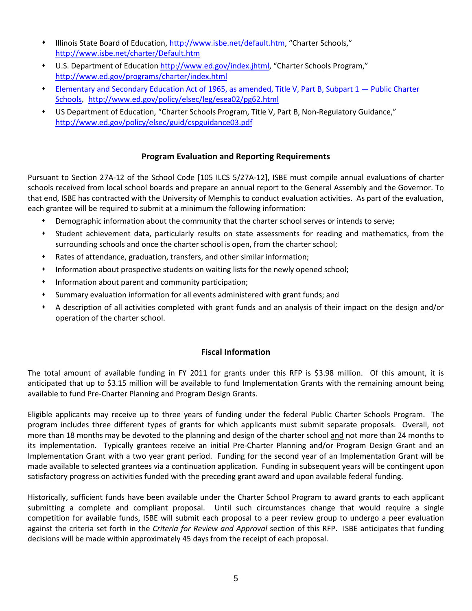- Illinois State Board of Education, [http://www.isbe.net/default.htm,](http://www.isbe.net/default.htm) "Charter Schools," <http://www.isbe.net/charter/Default.htm>
- \* U.S. Department of Education [http://www.ed.gov/index.jhtml,](http://www.ed.gov/index.jhtml) "Charter Schools Program," <http://www.ed.gov/programs/charter/index.html>
- Elementary and Secondary Education Act of 1965, as amended, Title V, Part B, Subpart 1 Public Charter Schools, <http://www.ed.gov/policy/elsec/leg/esea02/pg62.html>
- US Department of Education, "Charter Schools Program, Title V, Part B, Non-Regulatory Guidance," <http://www.ed.gov/policy/elsec/guid/cspguidance03.pdf>

#### **Program Evaluation and Reporting Requirements**

Pursuant to Section 27A-12 of the School Code [105 ILCS 5/27A-12], ISBE must compile annual evaluations of charter schools received from local school boards and prepare an annual report to the General Assembly and the Governor. To that end, ISBE has contracted with the University of Memphis to conduct evaluation activities. As part of the evaluation, each grantee will be required to submit at a minimum the following information:

- Demographic information about the community that the charter school serves or intends to serve;
- Student achievement data, particularly results on state assessments for reading and mathematics, from the surrounding schools and once the charter school is open, from the charter school;
- Rates of attendance, graduation, transfers, and other similar information;
- Information about prospective students on waiting lists for the newly opened school;
- Information about parent and community participation;
- Summary evaluation information for all events administered with grant funds; and
- A description of all activities completed with grant funds and an analysis of their impact on the design and/or operation of the charter school.

#### **Fiscal Information**

The total amount of available funding in FY 2011 for grants under this RFP is \$3.98 million. Of this amount, it is anticipated that up to \$3.15 million will be available to fund Implementation Grants with the remaining amount being available to fund Pre-Charter Planning and Program Design Grants.

Eligible applicants may receive up to three years of funding under the federal Public Charter Schools Program. The program includes three different types of grants for which applicants must submit separate proposals. Overall, not more than 18 months may be devoted to the planning and design of the charter school and not more than 24 months to its implementation. Typically grantees receive an initial Pre-Charter Planning and/or Program Design Grant and an Implementation Grant with a two year grant period. Funding for the second year of an Implementation Grant will be made available to selected grantees via a continuation application. Funding in subsequent years will be contingent upon satisfactory progress on activities funded with the preceding grant award and upon available federal funding.

Historically, sufficient funds have been available under the Charter School Program to award grants to each applicant submitting a complete and compliant proposal. Until such circumstances change that would require a single competition for available funds, ISBE will submit each proposal to a peer review group to undergo a peer evaluation against the criteria set forth in the *Criteria for Review and Approval* section of this RFP. ISBE anticipates that funding decisions will be made within approximately 45 days from the receipt of each proposal.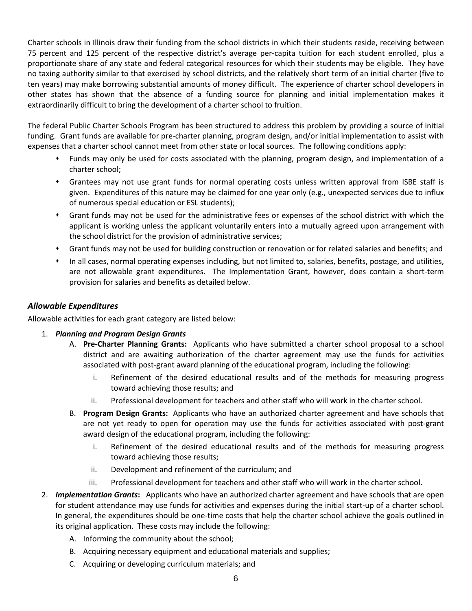Charter schools in Illinois draw their funding from the school districts in which their students reside, receiving between 75 percent and 125 percent of the respective district's average per-capita tuition for each student enrolled, plus a proportionate share of any state and federal categorical resources for which their students may be eligible. They have no taxing authority similar to that exercised by school districts, and the relatively short term of an initial charter (five to ten years) may make borrowing substantial amounts of money difficult. The experience of charter school developers in other states has shown that the absence of a funding source for planning and initial implementation makes it extraordinarily difficult to bring the development of a charter school to fruition.

The federal Public Charter Schools Program has been structured to address this problem by providing a source of initial funding. Grant funds are available for pre-charter planning, program design, and/or initial implementation to assist with expenses that a charter school cannot meet from other state or local sources. The following conditions apply:

- Funds may only be used for costs associated with the planning, program design, and implementation of a charter school;
- Grantees may not use grant funds for normal operating costs unless written approval from ISBE staff is given. Expenditures of this nature may be claimed for one year only (e.g., unexpected services due to influx of numerous special education or ESL students);
- Grant funds may not be used for the administrative fees or expenses of the school district with which the applicant is working unless the applicant voluntarily enters into a mutually agreed upon arrangement with the school district for the provision of administrative services;
- Grant funds may not be used for building construction or renovation or for related salaries and benefits; and
- In all cases, normal operating expenses including, but not limited to, salaries, benefits, postage, and utilities, are not allowable grant expenditures. The Implementation Grant, however, does contain a short-term provision for salaries and benefits as detailed below.

#### *Allowable Expenditures*

Allowable activities for each grant category are listed below:

- 1. *Planning and Program Design Grants*
	- A. **Pre-Charter Planning Grants:** Applicants who have submitted a charter school proposal to a school district and are awaiting authorization of the charter agreement may use the funds for activities associated with post-grant award planning of the educational program, including the following:
		- i. Refinement of the desired educational results and of the methods for measuring progress toward achieving those results; and
		- ii. Professional development for teachers and other staff who will work in the charter school.
	- B. **Program Design Grants:** Applicants who have an authorized charter agreement and have schools that are not yet ready to open for operation may use the funds for activities associated with post-grant award design of the educational program, including the following:
		- i. Refinement of the desired educational results and of the methods for measuring progress toward achieving those results;
		- ii. Development and refinement of the curriculum; and
		- iii. Professional development for teachers and other staff who will work in the charter school.
- 2. *Implementation Grants***:** Applicants who have an authorized charter agreement and have schools that are open for student attendance may use funds for activities and expenses during the initial start-up of a charter school. In general, the expenditures should be one-time costs that help the charter school achieve the goals outlined in its original application. These costs may include the following:
	- A. Informing the community about the school;
	- B. Acquiring necessary equipment and educational materials and supplies;
	- C. Acquiring or developing curriculum materials; and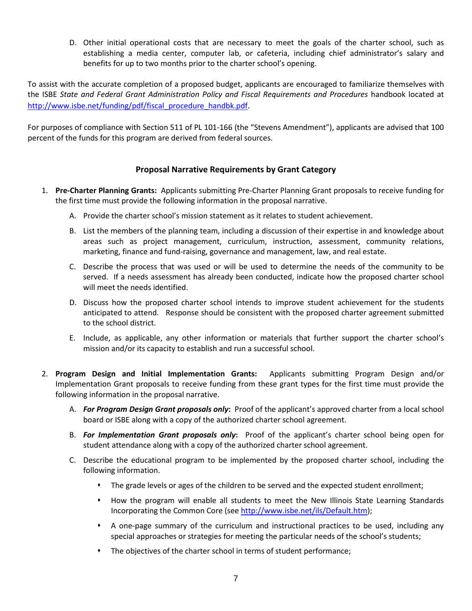D. Other initial operational costs that are necessary to meet the goals of the charter school, such as establishing a media center, computer lab, or cafeteria, including chief administrator's salary and benefits for up to two months prior to the charter school's opening.

To assist with the accurate completion of a proposed budget, applicants are encouraged to familiarize themselves with the ISBE *State and Federal Grant Administration Policy and Fiscal Requirements and Procedures* handbook located at [http://www.isbe.net/funding/pdf/fiscal\\_procedure\\_handbk.pdf.](http://www.isbe.net/funding/pdf/fiscal_procedure_handbk.pdf)

For purposes of compliance with Section 511 of PL 101-166 (the "Stevens Amendment"), applicants are advised that 100 percent of the funds for this program are derived from federal sources.

## **Proposal Narrative Requirements by Grant Category**

- 1. **Pre-Charter Planning Grants:** Applicants submitting Pre-Charter Planning Grant proposals to receive funding for the first time must provide the following information in the proposal narrative.
	- A. Provide the charter school's mission statement as it relates to student achievement.
	- B. List the members of the planning team, including a discussion of their expertise in and knowledge about areas such as project management, curriculum, instruction, assessment, community relations, marketing, finance and fund-raising, governance and management, law, and real estate.
	- C. Describe the process that was used or will be used to determine the needs of the community to be served. If a needs assessment has already been conducted, indicate how the proposed charter school will meet the needs identified.
	- D. Discuss how the proposed charter school intends to improve student achievement for the students anticipated to attend. Response should be consistent with the proposed charter agreement submitted to the school district.
	- E. Include, as applicable, any other information or materials that further support the charter school's mission and/or its capacity to establish and run a successful school.
- 2. **Program Design and Initial Implementation Grants:** Applicants submitting Program Design and/or Implementation Grant proposals to receive funding from these grant types for the first time must provide the following information in the proposal narrative.
	- A. *For Program Design Grant proposals only***:** Proof of the applicant's approved charter from a local school board or ISBE along with a copy of the authorized charter school agreement.
	- B. *For Implementation Grant proposals only***:** Proof of the applicant's charter school being open for student attendance along with a copy of the authorized charter school agreement.
	- C. Describe the educational program to be implemented by the proposed charter school, including the following information.
		- The grade levels or ages of the children to be served and the expected student enrollment;
		- How the program will enable all students to meet the New Illinois State Learning Standards Incorporating the Common Core (se[e http://www.isbe.net/ils/Default.htm\)](http://www.isbe.net/ils/Default.htm);
		- A one-page summary of the curriculum and instructional practices to be used, including any special approaches or strategies for meeting the particular needs of the school's students;
		- The objectives of the charter school in terms of student performance;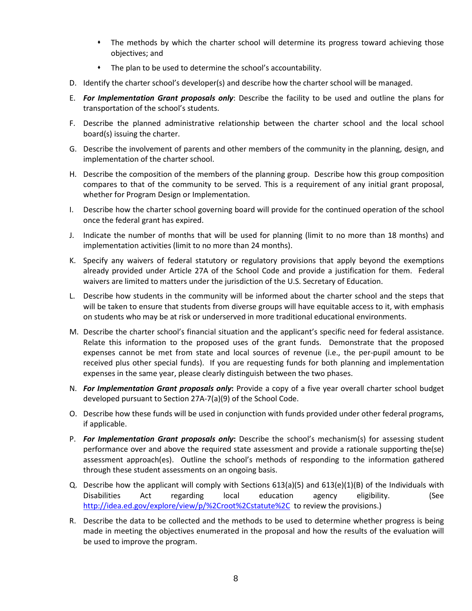- The methods by which the charter school will determine its progress toward achieving those objectives; and
- The plan to be used to determine the school's accountability.
- D. Identify the charter school's developer(s) and describe how the charter school will be managed.
- E. *For Implementation Grant proposals only*: Describe the facility to be used and outline the plans for transportation of the school's students.
- F. Describe the planned administrative relationship between the charter school and the local school board(s) issuing the charter.
- G. Describe the involvement of parents and other members of the community in the planning, design, and implementation of the charter school.
- H. Describe the composition of the members of the planning group. Describe how this group composition compares to that of the community to be served. This is a requirement of any initial grant proposal, whether for Program Design or Implementation.
- I. Describe how the charter school governing board will provide for the continued operation of the school once the federal grant has expired.
- J. Indicate the number of months that will be used for planning (limit to no more than 18 months) and implementation activities (limit to no more than 24 months).
- K. Specify any waivers of federal statutory or regulatory provisions that apply beyond the exemptions already provided under Article 27A of the School Code and provide a justification for them. Federal waivers are limited to matters under the jurisdiction of the U.S. Secretary of Education.
- L. Describe how students in the community will be informed about the charter school and the steps that will be taken to ensure that students from diverse groups will have equitable access to it, with emphasis on students who may be at risk or underserved in more traditional educational environments.
- M. Describe the charter school's financial situation and the applicant's specific need for federal assistance. Relate this information to the proposed uses of the grant funds. Demonstrate that the proposed expenses cannot be met from state and local sources of revenue (i.e., the per-pupil amount to be received plus other special funds). If you are requesting funds for both planning and implementation expenses in the same year, please clearly distinguish between the two phases.
- N. *For Implementation Grant proposals only***:** Provide a copy of a five year overall charter school budget developed pursuant to Section 27A-7(a)(9) of the School Code.
- O. Describe how these funds will be used in conjunction with funds provided under other federal programs, if applicable.
- P. *For Implementation Grant proposals only***:** Describe the school's mechanism(s) for assessing student performance over and above the required state assessment and provide a rationale supporting the(se) assessment approach(es). Outline the school's methods of responding to the information gathered through these student assessments on an ongoing basis.
- Q. Describe how the applicant will comply with Sections 613(a)(5) and 613(e)(1)(B) of the Individuals with Disabilities Act regarding local education agency eligibility. (See <http://idea.ed.gov/explore/view/p/%2Croot%2Cstatute%2C>to review the provisions.)
- R. Describe the data to be collected and the methods to be used to determine whether progress is being made in meeting the objectives enumerated in the proposal and how the results of the evaluation will be used to improve the program.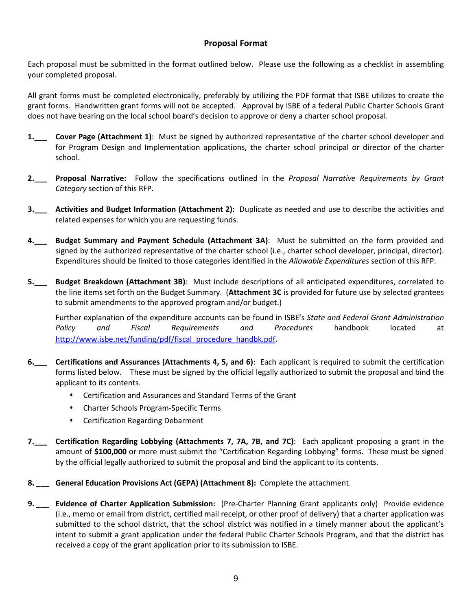# **Proposal Format**

Each proposal must be submitted in the format outlined below. Please use the following as a checklist in assembling your completed proposal.

All grant forms must be completed electronically, preferably by utilizing the PDF format that ISBE utilizes to create the grant forms. Handwritten grant forms will not be accepted. Approval by ISBE of a federal Public Charter Schools Grant does not have bearing on the local school board's decision to approve or deny a charter school proposal.

- **1.\_\_\_ Cover Page (Attachment 1)**: Must be signed by authorized representative of the charter school developer and for Program Design and Implementation applications, the charter school principal or director of the charter school.
- **2.\_\_\_ Proposal Narrative:** Follow the specifications outlined in the *Proposal Narrative Requirements by Grant Category* section of this RFP.
- **3.\_\_\_ Activities and Budget Information (Attachment 2)**: Duplicate as needed and use to describe the activities and related expenses for which you are requesting funds.
- **4.\_\_\_ Budget Summary and Payment Schedule (Attachment 3A)**: Must be submitted on the form provided and signed by the authorized representative of the charter school (i.e., charter school developer, principal, director). Expenditures should be limited to those categories identified in the *Allowable Expenditures* section of this RFP.
- **5.\_\_\_ Budget Breakdown (Attachment 3B)**: Must include descriptions of all anticipated expenditures, correlated to the line items set forth on the Budget Summary. (**Attachment 3C** is provided for future use by selected grantees to submit amendments to the approved program and/or budget.)

Further explanation of the expenditure accounts can be found in ISBE's *State and Federal Grant Administration Policy and Fiscal Requirements and Procedures* handbook located at [http://www.isbe.net/funding/pdf/fiscal\\_procedure\\_handbk.pdf](http://www.isbe.net/funding/pdf/fiscal_procedure_handbk.pdf).

- **6.\_\_\_ Certifications and Assurances (Attachments 4, 5, and 6)**: Each applicant is required to submit the certification forms listed below. These must be signed by the official legally authorized to submit the proposal and bind the applicant to its contents.
	- Certification and Assurances and Standard Terms of the Grant
	- Charter Schools Program-Specific Terms
	- Certification Regarding Debarment
- **7.\_\_\_ Certification Regarding Lobbying (Attachments 7, 7A, 7B, and 7C)**: Each applicant proposing a grant in the amount of **\$100,000** or more must submit the "Certification Regarding Lobbying" forms. These must be signed by the official legally authorized to submit the proposal and bind the applicant to its contents.
- **8. \_\_\_ General Education Provisions Act (GEPA) (Attachment 8):** Complete the attachment.
- **9. \_\_\_ Evidence of Charter Application Submission:** (Pre-Charter Planning Grant applicants only) Provide evidence (i.e., memo or email from district, certified mail receipt, or other proof of delivery) that a charter application was submitted to the school district, that the school district was notified in a timely manner about the applicant's intent to submit a grant application under the federal Public Charter Schools Program, and that the district has received a copy of the grant application prior to its submission to ISBE.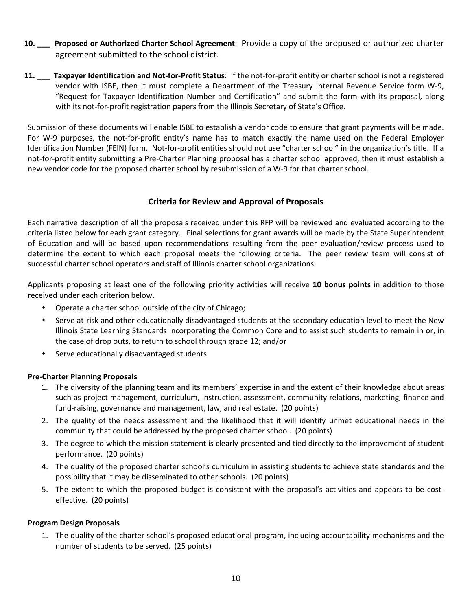- **10. \_\_\_ Proposed or Authorized Charter School Agreement**: Provide a copy of the proposed or authorized charter agreement submitted to the school district.
- **11. \_\_\_ Taxpayer Identification and Not-for-Profit Status**: If the not-for-profit entity or charter school is not a registered vendor with ISBE, then it must complete a Department of the Treasury Internal Revenue Service form W-9, "Request for Taxpayer Identification Number and Certification" and submit the form with its proposal, along with its not-for-profit registration papers from the Illinois Secretary of State's Office.

Submission of these documents will enable ISBE to establish a vendor code to ensure that grant payments will be made. For W-9 purposes, the not-for-profit entity's name has to match exactly the name used on the Federal Employer Identification Number (FEIN) form. Not-for-profit entities should not use "charter school" in the organization's title. If a not-for-profit entity submitting a Pre-Charter Planning proposal has a charter school approved, then it must establish a new vendor code for the proposed charter school by resubmission of a W-9 for that charter school.

#### **Criteria for Review and Approval of Proposals**

Each narrative description of all the proposals received under this RFP will be reviewed and evaluated according to the criteria listed below for each grant category. Final selections for grant awards will be made by the State Superintendent of Education and will be based upon recommendations resulting from the peer evaluation/review process used to determine the extent to which each proposal meets the following criteria. The peer review team will consist of successful charter school operators and staff of Illinois charter school organizations.

Applicants proposing at least one of the following priority activities will receive **10 bonus points** in addition to those received under each criterion below.

- Operate a charter school outside of the city of Chicago;
- Serve at-risk and other educationally disadvantaged students at the secondary education level to meet the New Illinois State Learning Standards Incorporating the Common Core and to assist such students to remain in or, in the case of drop outs, to return to school through grade 12; and/or
- Serve educationally disadvantaged students.

#### **Pre-Charter Planning Proposals**

- 1. The diversity of the planning team and its members' expertise in and the extent of their knowledge about areas such as project management, curriculum, instruction, assessment, community relations, marketing, finance and fund-raising, governance and management, law, and real estate. (20 points)
- 2. The quality of the needs assessment and the likelihood that it will identify unmet educational needs in the community that could be addressed by the proposed charter school. (20 points)
- 3. The degree to which the mission statement is clearly presented and tied directly to the improvement of student performance. (20 points)
- 4. The quality of the proposed charter school's curriculum in assisting students to achieve state standards and the possibility that it may be disseminated to other schools. (20 points)
- 5. The extent to which the proposed budget is consistent with the proposal's activities and appears to be costeffective. (20 points)

#### **Program Design Proposals**

1. The quality of the charter school's proposed educational program, including accountability mechanisms and the number of students to be served. (25 points)